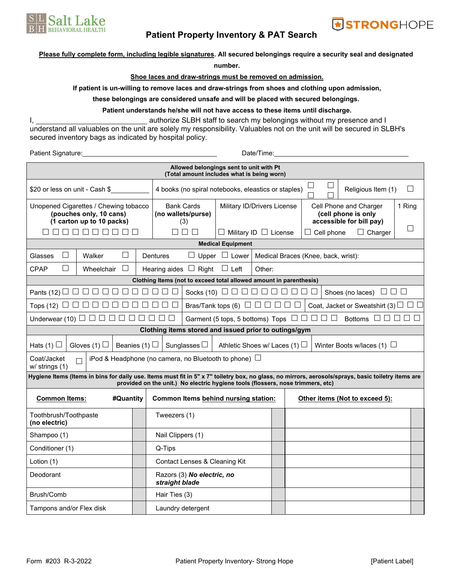

# **Patient Property Inventory & PAT Search**

## **Please fully complete form, including legible signatures. All secured belongings require a security seal and designated**

**number.**

## **Shoe laces and draw-strings must be removed on admission.**

**If patient is un-willing to remove laces and draw-strings from shoes and clothing upon admission,**

#### **these belongings are considered unsafe and will be placed with secured belongings.**

## **Patient understands he/she will not have access to these items until discharge.**

I, 1. Authorize SLBH staff to search my belongings without my presence and I understand all valuables on the unit are solely my responsibility. Valuables not on the unit will be secured in SLBH's secured inventory bags as indicated by hospital policy.

Patient Signature: Date/Time:

| Allowed belongings sent to unit with Pt<br>(Total amount includes what is being worn)                                                                                                                                                  |                             |         |                                                            |                               |                                                                       |                                                                                                                   |  |                                |                                     |                                                                           |   |  |  |  |  |
|----------------------------------------------------------------------------------------------------------------------------------------------------------------------------------------------------------------------------------------|-----------------------------|---------|------------------------------------------------------------|-------------------------------|-----------------------------------------------------------------------|-------------------------------------------------------------------------------------------------------------------|--|--------------------------------|-------------------------------------|---------------------------------------------------------------------------|---|--|--|--|--|
| \$20 or less on unit - Cash \$                                                                                                                                                                                                         |                             |         |                                                            |                               |                                                                       | 4 books (no spiral notebooks, eleastics or staples)                                                               |  | ⊔                              |                                     | Religious Item (1)                                                        | ⊔ |  |  |  |  |
| Unopened Cigarettes / Chewing tobacco<br>(pouches only, 10 cans)<br>(1 carton up to 10 packs)                                                                                                                                          |                             |         |                                                            |                               | <b>Bank Cards</b><br>(no wallets/purse)<br>(3)                        | Military ID/Drivers License                                                                                       |  |                                |                                     | Cell Phone and Charger<br>(cell phone is only<br>accessible for bill pay) |   |  |  |  |  |
| 88888888                                                                                                                                                                                                                               |                             |         |                                                            | П                             | $\Box$<br>$\mathbf{L}$                                                | $\Box$ Military ID $\Box$ License                                                                                 |  |                                | $\Box$ Cell phone<br>$\Box$ Charger |                                                                           |   |  |  |  |  |
|                                                                                                                                                                                                                                        |                             |         | <b>Medical Equipment</b>                                   |                               |                                                                       |                                                                                                                   |  |                                |                                     |                                                                           |   |  |  |  |  |
| $\vert \ \ \vert$<br>Glasses                                                                                                                                                                                                           | $\vert \ \ \vert$<br>Walker |         |                                                            |                               | Upper $\Box$ Lower<br>Dentures                                        |                                                                                                                   |  |                                | Medical Braces (Knee, back, wrist): |                                                                           |   |  |  |  |  |
| $\Box$<br><b>CPAP</b>                                                                                                                                                                                                                  | Wheelchair                  | $\perp$ |                                                            |                               | Hearing aides $\Box$ Right $\Box$ Left                                | Other:                                                                                                            |  |                                |                                     |                                                                           |   |  |  |  |  |
| Clothing Items (not to exceed total allowed amount in parenthesis)                                                                                                                                                                     |                             |         |                                                            |                               |                                                                       |                                                                                                                   |  |                                |                                     |                                                                           |   |  |  |  |  |
| Pants (12) $\Box$ $\Box$                                                                                                                                                                                                               |                             |         | П<br>$\perp$                                               | 1   1                         |                                                                       | $\Box$<br>Shoes (no laces)                                                                                        |  |                                |                                     |                                                                           |   |  |  |  |  |
| Tops (12) $\Box$ $\Box$                                                                                                                                                                                                                |                             |         |                                                            |                               |                                                                       | Bras/Tank tops (6) $\Box$ $\Box$ $\Box$<br>Coat, Jacket or Sweatshirt (3) $\Box$ $\Box$<br>$\Box$                 |  |                                |                                     |                                                                           |   |  |  |  |  |
| Underwear (10) $\Box$ $\Box$ $\Box$ $\Box$                                                                                                                                                                                             |                             | $\perp$ |                                                            |                               |                                                                       | Garment (5 tops, 5 bottoms) Tops $\Box$ $\Box$ $\Box$ $\Box$<br>Bottoms $\square \square \square \square \square$ |  |                                |                                     |                                                                           |   |  |  |  |  |
| Clothing items stored and issued prior to outings/gym                                                                                                                                                                                  |                             |         |                                                            |                               |                                                                       |                                                                                                                   |  |                                |                                     |                                                                           |   |  |  |  |  |
| Hats (1) $\Box$<br>Gloves (1) $\Box$                                                                                                                                                                                                   | Beanies (1) $\Box$          |         |                                                            | Sunglasses $\Box$             | Athletic Shoes w/ Laces (1) $\Box$<br>Winter Boots w/laces (1) $\Box$ |                                                                                                                   |  |                                |                                     |                                                                           |   |  |  |  |  |
| Coat/Jacket<br>$w/$ strings $(1)$                                                                                                                                                                                                      |                             |         | iPod & Headphone (no camera, no Bluetooth to phone) $\Box$ |                               |                                                                       |                                                                                                                   |  |                                |                                     |                                                                           |   |  |  |  |  |
| Hygiene Items (Items in bins for daily use. Items must fit in 5" x 7" toiletry box, no glass, no mirrors, aerosols/sprays, basic toiletry items are<br>provided on the unit.) No electric hygiene tools (flossers, nose trimmers, etc) |                             |         |                                                            |                               |                                                                       |                                                                                                                   |  |                                |                                     |                                                                           |   |  |  |  |  |
| <b>Common Items:</b><br>#Quantity                                                                                                                                                                                                      |                             |         |                                                            |                               |                                                                       | Common Items behind nursing station:                                                                              |  | Other items (Not to exceed 5): |                                     |                                                                           |   |  |  |  |  |
| Toothbrush/Toothpaste<br>(no electric)                                                                                                                                                                                                 |                             |         |                                                            | Tweezers (1)                  |                                                                       |                                                                                                                   |  |                                |                                     |                                                                           |   |  |  |  |  |
| Shampoo (1)                                                                                                                                                                                                                            |                             |         |                                                            | Nail Clippers (1)             |                                                                       |                                                                                                                   |  |                                |                                     |                                                                           |   |  |  |  |  |
| Conditioner (1)                                                                                                                                                                                                                        |                             |         |                                                            | Q-Tips                        |                                                                       |                                                                                                                   |  |                                |                                     |                                                                           |   |  |  |  |  |
| Lotion (1)                                                                                                                                                                                                                             |                             |         |                                                            | Contact Lenses & Cleaning Kit |                                                                       |                                                                                                                   |  |                                |                                     |                                                                           |   |  |  |  |  |
| Deodorant                                                                                                                                                                                                                              |                             |         |                                                            | straight blade                | Razors (3) No electric, no                                            |                                                                                                                   |  |                                |                                     |                                                                           |   |  |  |  |  |
| Brush/Comb                                                                                                                                                                                                                             |                             |         |                                                            | Hair Ties (3)                 |                                                                       |                                                                                                                   |  |                                |                                     |                                                                           |   |  |  |  |  |
| Tampons and/or Flex disk                                                                                                                                                                                                               |                             |         |                                                            | Laundry detergent             |                                                                       |                                                                                                                   |  |                                |                                     |                                                                           |   |  |  |  |  |

**STRONGHOPE**